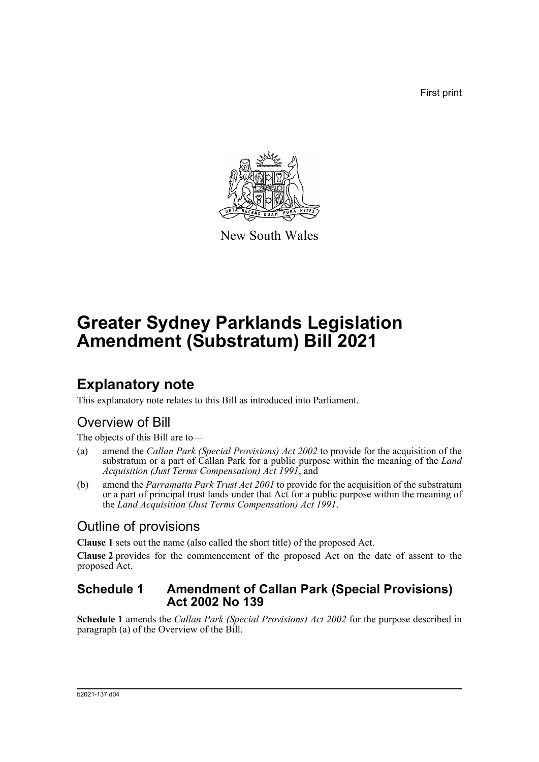First print



New South Wales

# **Greater Sydney Parklands Legislation Amendment (Substratum) Bill 2021**

### **Explanatory note**

This explanatory note relates to this Bill as introduced into Parliament.

### Overview of Bill

The objects of this Bill are to—

- (a) amend the *Callan Park (Special Provisions) Act 2002* to provide for the acquisition of the substratum or a part of Callan Park for a public purpose within the meaning of the *Land Acquisition (Just Terms Compensation) Act 1991*, and
- (b) amend the *Parramatta Park Trust Act 2001* to provide for the acquisition of the substratum or a part of principal trust lands under that Act for a public purpose within the meaning of the *Land Acquisition (Just Terms Compensation) Act 1991*.

### Outline of provisions

**Clause 1** sets out the name (also called the short title) of the proposed Act.

**Clause 2** provides for the commencement of the proposed Act on the date of assent to the proposed Act.

#### **Schedule 1 Amendment of Callan Park (Special Provisions) Act 2002 No 139**

**Schedule 1** amends the *Callan Park (Special Provisions) Act 2002* for the purpose described in paragraph (a) of the Overview of the Bill.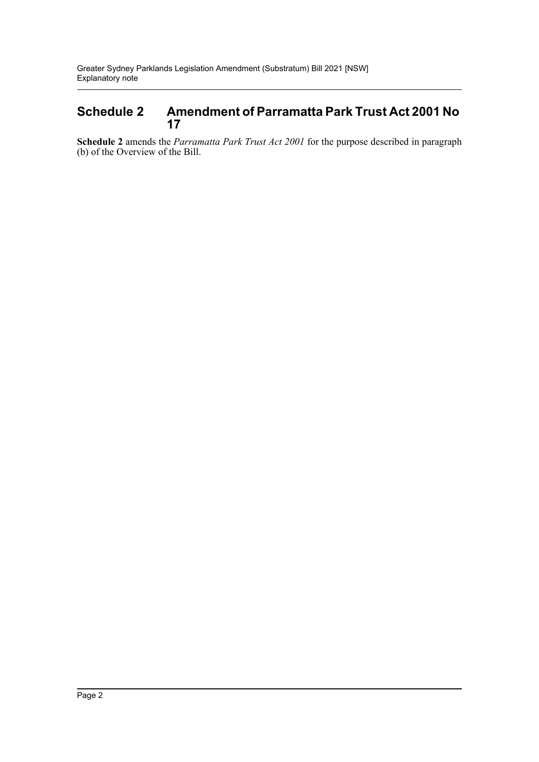#### **Schedule 2 Amendment of Parramatta Park Trust Act 2001 No 17**

**Schedule 2** amends the *Parramatta Park Trust Act 2001* for the purpose described in paragraph (b) of the Overview of the Bill.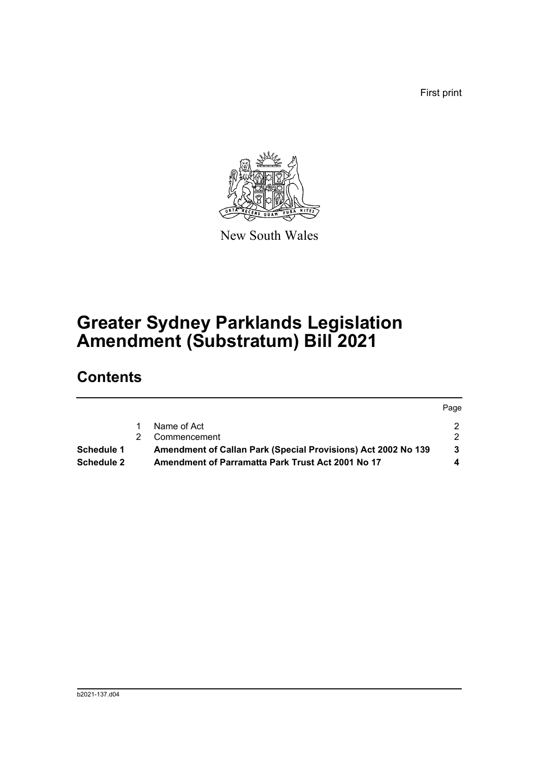First print



New South Wales

# **Greater Sydney Parklands Legislation Amendment (Substratum) Bill 2021**

## **Contents**

|            |                                                               | Page |
|------------|---------------------------------------------------------------|------|
|            | Name of Act                                                   | 2.   |
|            | Commencement                                                  | 2.   |
| Schedule 1 | Amendment of Callan Park (Special Provisions) Act 2002 No 139 | 3    |
| Schedule 2 | Amendment of Parramatta Park Trust Act 2001 No 17             |      |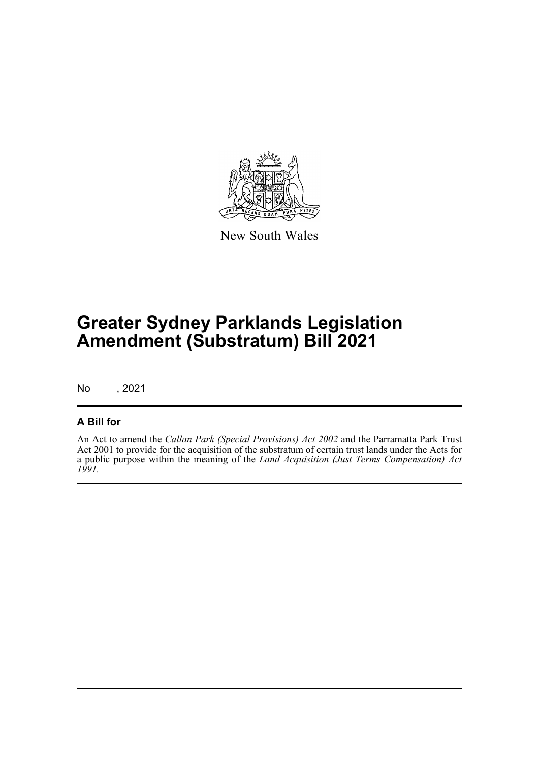

New South Wales

# **Greater Sydney Parklands Legislation Amendment (Substratum) Bill 2021**

No , 2021

#### **A Bill for**

An Act to amend the *Callan Park (Special Provisions) Act 2002* and the Parramatta Park Trust Act 2001 to provide for the acquisition of the substratum of certain trust lands under the Acts for a public purpose within the meaning of the *Land Acquisition (Just Terms Compensation) Act 1991.*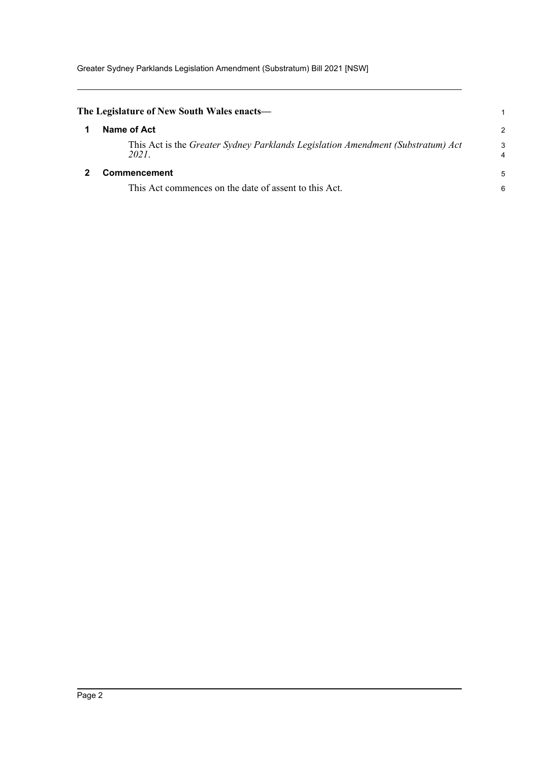<span id="page-4-1"></span><span id="page-4-0"></span>

| The Legislature of New South Wales enacts—                                               |        |
|------------------------------------------------------------------------------------------|--------|
| Name of Act                                                                              | 2      |
| This Act is the Greater Sydney Parklands Legislation Amendment (Substratum) Act<br>2021. | 3<br>4 |
| <b>Commencement</b>                                                                      | 5      |
| This Act commences on the date of assent to this Act.                                    | 6      |
|                                                                                          |        |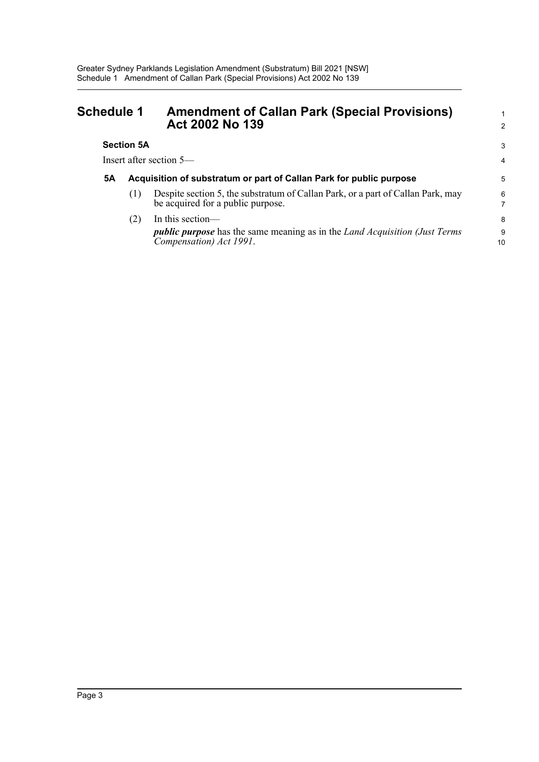<span id="page-5-0"></span>

| <b>Schedule 1</b>         |     | <b>Amendment of Callan Park (Special Provisions)</b><br>Act 2002 No 139                                                                   | 1<br>$\overline{2}$ |  |  |
|---------------------------|-----|-------------------------------------------------------------------------------------------------------------------------------------------|---------------------|--|--|
| <b>Section 5A</b>         |     |                                                                                                                                           |                     |  |  |
| Insert after section $5-$ |     |                                                                                                                                           |                     |  |  |
| <b>5A</b>                 |     | Acquisition of substratum or part of Callan Park for public purpose                                                                       | 5                   |  |  |
|                           | (1) | Despite section 5, the substratum of Callan Park, or a part of Callan Park, may<br>be acquired for a public purpose.                      | 6                   |  |  |
|                           | (2) | In this section—<br><i>public purpose</i> has the same meaning as in the <i>Land Acquisition (Just Terms</i> )<br>Compensation) Act 1991. | 8<br>9<br>10        |  |  |